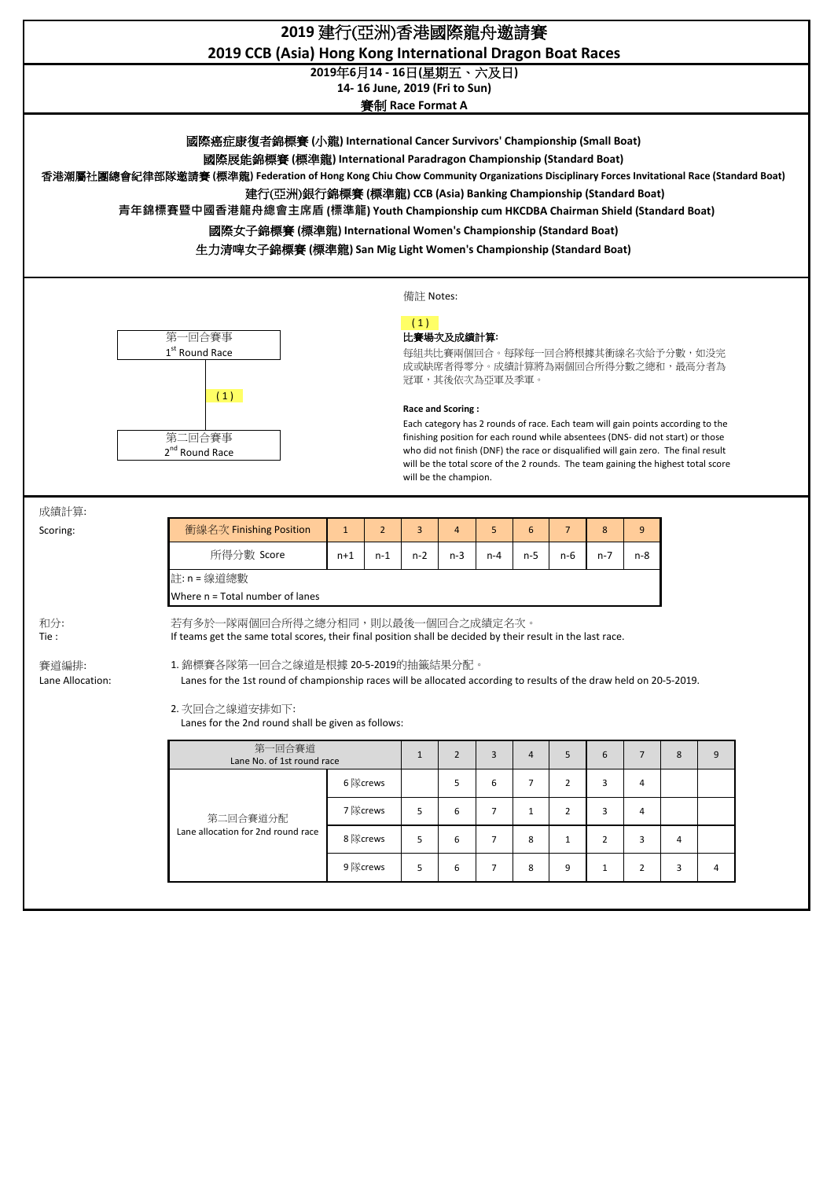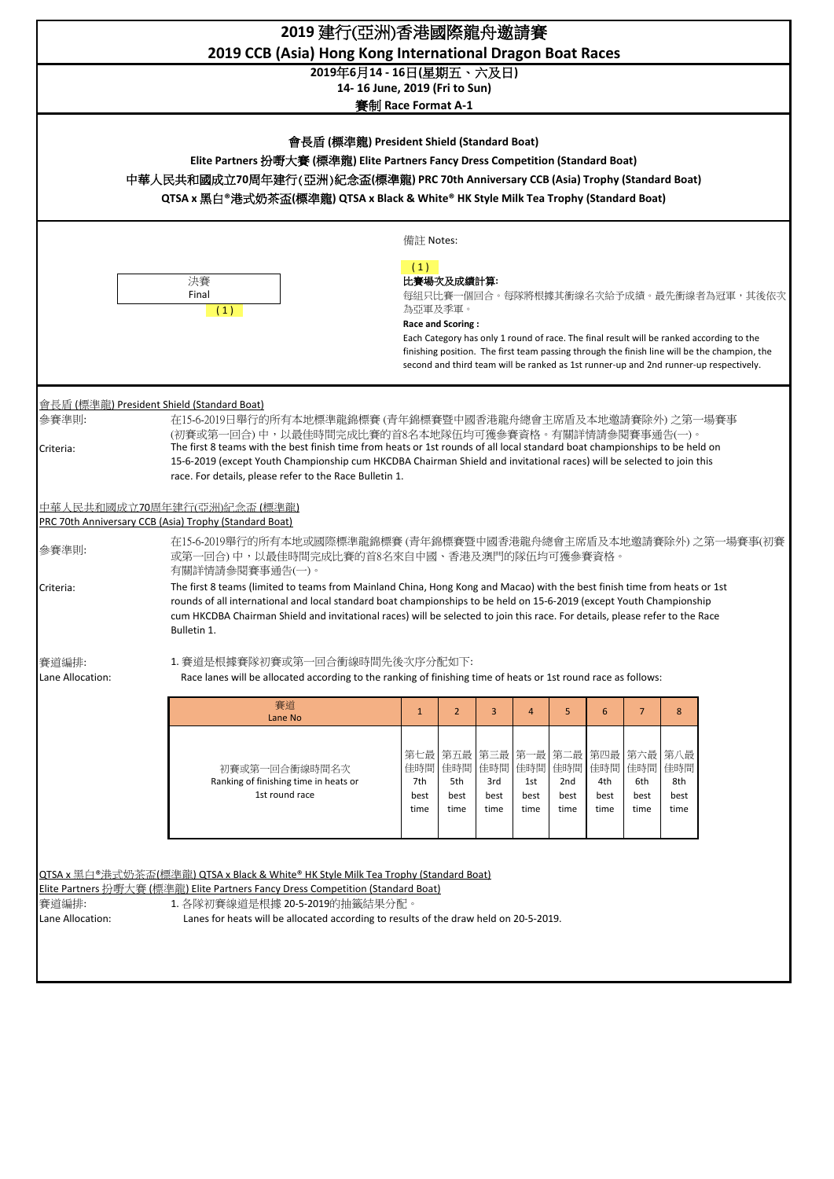| 2019 建行(亞洲)香港國際龍舟邀請賽<br>2019 CCB (Asia) Hong Kong International Dragon Boat Races                                                                                      |                                                                                                                                                                                                                                                                                                                                                                                                                     |                          |                   |            |                |            |                                                     |                |                   |                                                                                                                                                                                          |  |
|------------------------------------------------------------------------------------------------------------------------------------------------------------------------|---------------------------------------------------------------------------------------------------------------------------------------------------------------------------------------------------------------------------------------------------------------------------------------------------------------------------------------------------------------------------------------------------------------------|--------------------------|-------------------|------------|----------------|------------|-----------------------------------------------------|----------------|-------------------|------------------------------------------------------------------------------------------------------------------------------------------------------------------------------------------|--|
|                                                                                                                                                                        |                                                                                                                                                                                                                                                                                                                                                                                                                     | 2019年6月14 - 16日(星期五、六及日) |                   |            |                |            |                                                     |                |                   |                                                                                                                                                                                          |  |
| 14-16 June, 2019 (Fri to Sun)<br>賽制 Race Format A-1                                                                                                                    |                                                                                                                                                                                                                                                                                                                                                                                                                     |                          |                   |            |                |            |                                                     |                |                   |                                                                                                                                                                                          |  |
|                                                                                                                                                                        |                                                                                                                                                                                                                                                                                                                                                                                                                     |                          |                   |            |                |            |                                                     |                |                   |                                                                                                                                                                                          |  |
| 會長盾 (標準龍) President Shield (Standard Boat)                                                                                                                             |                                                                                                                                                                                                                                                                                                                                                                                                                     |                          |                   |            |                |            |                                                     |                |                   |                                                                                                                                                                                          |  |
| Elite Partners 扮嘢大賽 (標準龍) Elite Partners Fancy Dress Competition (Standard Boat)<br>中華人民共和國成立70周年建行(亞洲)紀念盃(標準龍) PRC 70th Anniversary CCB (Asia) Trophy (Standard Boat) |                                                                                                                                                                                                                                                                                                                                                                                                                     |                          |                   |            |                |            |                                                     |                |                   |                                                                                                                                                                                          |  |
| QTSA x 黑白®港式奶茶盃(標準龍) QTSA x Black & White® HK Style Milk Tea Trophy (Standard Boat)                                                                                    |                                                                                                                                                                                                                                                                                                                                                                                                                     |                          |                   |            |                |            |                                                     |                |                   |                                                                                                                                                                                          |  |
|                                                                                                                                                                        |                                                                                                                                                                                                                                                                                                                                                                                                                     | 備註 Notes:                |                   |            |                |            |                                                     |                |                   |                                                                                                                                                                                          |  |
|                                                                                                                                                                        | 決賽                                                                                                                                                                                                                                                                                                                                                                                                                  | (1)                      | 比賽場次及成績計算:        |            |                |            |                                                     |                |                   |                                                                                                                                                                                          |  |
|                                                                                                                                                                        | Final                                                                                                                                                                                                                                                                                                                                                                                                               | 為亞軍及季軍。                  |                   |            |                |            |                                                     |                |                   | 每組只比賽一個回合。每隊將根據其衝線名次給予成績。最先衝線者為冠軍,其後依次                                                                                                                                                   |  |
|                                                                                                                                                                        | (1)                                                                                                                                                                                                                                                                                                                                                                                                                 |                          | Race and Scoring: |            |                |            |                                                     |                |                   |                                                                                                                                                                                          |  |
|                                                                                                                                                                        |                                                                                                                                                                                                                                                                                                                                                                                                                     |                          |                   |            |                |            |                                                     |                |                   | Each Category has only 1 round of race. The final result will be ranked according to the<br>finishing position. The first team passing through the finish line will be the champion, the |  |
|                                                                                                                                                                        |                                                                                                                                                                                                                                                                                                                                                                                                                     |                          |                   |            |                |            |                                                     |                |                   | second and third team will be ranked as 1st runner-up and 2nd runner-up respectively.                                                                                                    |  |
|                                                                                                                                                                        | 會長盾 (標準龍) President Shield (Standard Boat)                                                                                                                                                                                                                                                                                                                                                                          |                          |                   |            |                |            |                                                     |                |                   |                                                                                                                                                                                          |  |
| 参賽準則:                                                                                                                                                                  | 在15-6-2019日舉行的所有本地標準龍錦標賽 (青年錦標賽暨中國香港龍舟總會主席盾及本地邀請賽除外) 之第一場賽事                                                                                                                                                                                                                                                                                                                                                         |                          |                   |            |                |            |                                                     |                |                   |                                                                                                                                                                                          |  |
| Criteria:                                                                                                                                                              | (初賽或第一回合)中,以最佳時間完成比賽的首8名本地隊伍均可獲參賽資格。有關詳情請參閱賽事通告(一)。<br>The first 8 teams with the best finish time from heats or 1st rounds of all local standard boat championships to be held on                                                                                                                                                                                                                                  |                          |                   |            |                |            |                                                     |                |                   |                                                                                                                                                                                          |  |
|                                                                                                                                                                        | 15-6-2019 (except Youth Championship cum HKCDBA Chairman Shield and invitational races) will be selected to join this<br>race. For details, please refer to the Race Bulletin 1.                                                                                                                                                                                                                                    |                          |                   |            |                |            |                                                     |                |                   |                                                                                                                                                                                          |  |
|                                                                                                                                                                        | <u>中華人民共和國成立70周年建行(亞洲)紀念盃 (標準龍)</u><br>PRC 70th Anniversary CCB (Asia) Trophy (Standard Boat)                                                                                                                                                                                                                                                                                                                       |                          |                   |            |                |            |                                                     |                |                   |                                                                                                                                                                                          |  |
| 参賽準則:                                                                                                                                                                  | 在15-6-2019舉行的所有本地或國際標準龍錦標賽(青年錦標賽暨中國香港龍舟總會主席盾及本地邀請賽除外)之第一場賽事(初賽<br>或第一回合)中,以最佳時間完成比賽的首8名來自中國、香港及澳門的隊伍均可獲參賽資格。                                                                                                                                                                                                                                                                                                        |                          |                   |            |                |            |                                                     |                |                   |                                                                                                                                                                                          |  |
| Criteria:                                                                                                                                                              | 有關詳情請參閱賽事通告(一)。<br>The first 8 teams (limited to teams from Mainland China, Hong Kong and Macao) with the best finish time from heats or 1st<br>rounds of all international and local standard boat championships to be held on 15-6-2019 (except Youth Championship<br>cum HKCDBA Chairman Shield and invitational races) will be selected to join this race. For details, please refer to the Race<br>Bulletin 1. |                          |                   |            |                |            |                                                     |                |                   |                                                                                                                                                                                          |  |
| 賽道編排:                                                                                                                                                                  | 1. 賽道是根據賽隊初賽或第一回合衝線時間先後次序分配如下:                                                                                                                                                                                                                                                                                                                                                                                      |                          |                   |            |                |            |                                                     |                |                   |                                                                                                                                                                                          |  |
| Lane Allocation:                                                                                                                                                       | Race lanes will be allocated according to the ranking of finishing time of heats or 1st round race as follows:                                                                                                                                                                                                                                                                                                      |                          |                   |            |                |            |                                                     |                |                   |                                                                                                                                                                                          |  |
|                                                                                                                                                                        | 賽道                                                                                                                                                                                                                                                                                                                                                                                                                  | $\mathbf{1}$             | $2^{\circ}$       | 3          | $\overline{4}$ | 5          | 6                                                   | $\overline{7}$ | 8                 |                                                                                                                                                                                          |  |
|                                                                                                                                                                        | Lane No                                                                                                                                                                                                                                                                                                                                                                                                             |                          |                   |            |                |            |                                                     |                |                   |                                                                                                                                                                                          |  |
|                                                                                                                                                                        | 初賽或第一回合衝線時間名次<br>Ranking of finishing time in heats or                                                                                                                                                                                                                                                                                                                                                              | 佳時間<br>7th               | 佳時間<br>5th        | 佳時間<br>3rd | 佳時間<br>1st     | 佳時間<br>2nd | 第七最 第五最   第三最   第一最   第二最   第四最   第六最<br>佳時間<br>4th | 佳時間<br>6th     | 第八最<br>佳時間<br>8th |                                                                                                                                                                                          |  |
|                                                                                                                                                                        | 1st round race                                                                                                                                                                                                                                                                                                                                                                                                      | best                     | best              | best       | best           | best       | best                                                | best           | best              |                                                                                                                                                                                          |  |
|                                                                                                                                                                        |                                                                                                                                                                                                                                                                                                                                                                                                                     | time                     | time              | time       | time           | time       | time                                                | time           | time              |                                                                                                                                                                                          |  |
|                                                                                                                                                                        |                                                                                                                                                                                                                                                                                                                                                                                                                     |                          |                   |            |                |            |                                                     |                |                   |                                                                                                                                                                                          |  |
| <b>QTSA x</b> 黑白 <sup>®</sup> 港式奶茶盃(標準龍) <b>QTSA x Black &amp; White® HK Style Milk Tea Trophy (Standard Boat)</b>                                                     |                                                                                                                                                                                                                                                                                                                                                                                                                     |                          |                   |            |                |            |                                                     |                |                   |                                                                                                                                                                                          |  |
|                                                                                                                                                                        | Elite Partners 扮嘢大賽 (標準龍) Elite Partners Fancy Dress Competition (Standard Boat)                                                                                                                                                                                                                                                                                                                                    |                          |                   |            |                |            |                                                     |                |                   |                                                                                                                                                                                          |  |
| 賽道編排:<br>1. 各隊初賽線道是根據 20-5-2019的抽籤結果分配。<br>Lanes for heats will be allocated according to results of the draw held on 20-5-2019.<br>Lane Allocation:                   |                                                                                                                                                                                                                                                                                                                                                                                                                     |                          |                   |            |                |            |                                                     |                |                   |                                                                                                                                                                                          |  |
|                                                                                                                                                                        |                                                                                                                                                                                                                                                                                                                                                                                                                     |                          |                   |            |                |            |                                                     |                |                   |                                                                                                                                                                                          |  |
|                                                                                                                                                                        |                                                                                                                                                                                                                                                                                                                                                                                                                     |                          |                   |            |                |            |                                                     |                |                   |                                                                                                                                                                                          |  |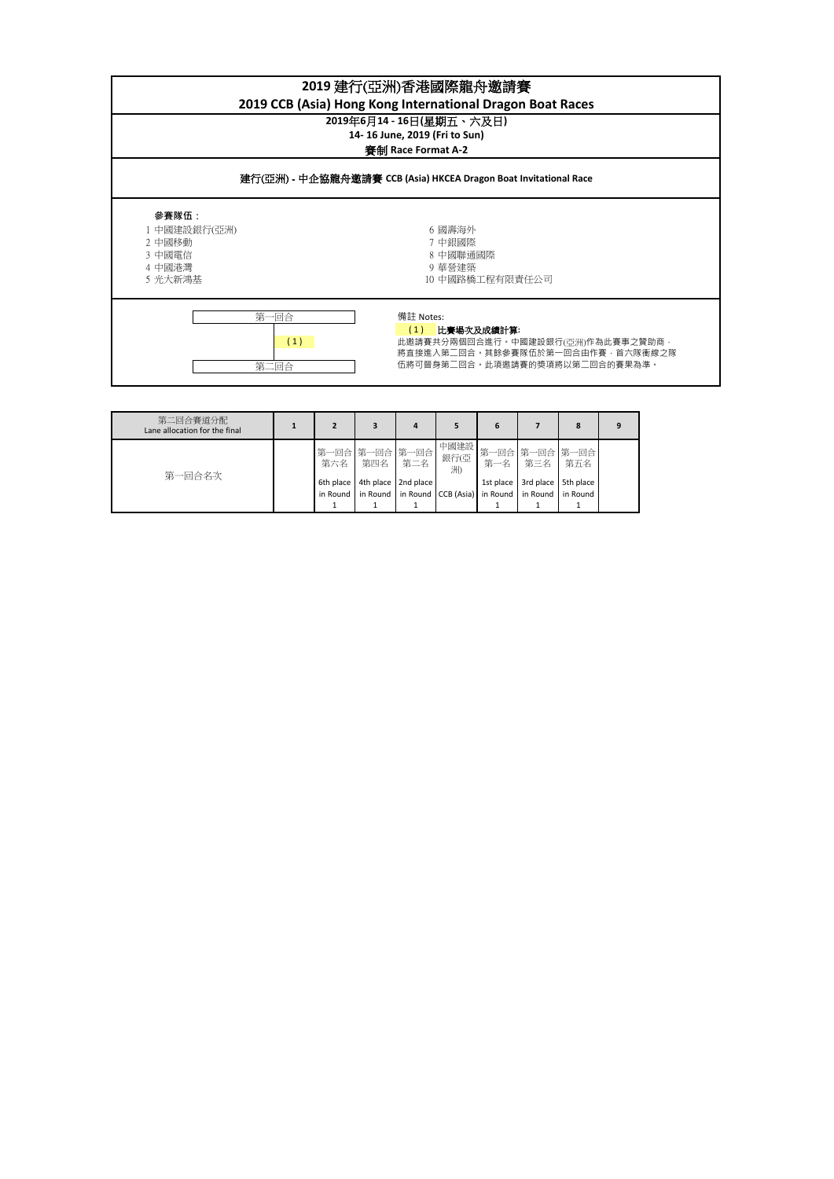| 2019 建行(亞洲)香港國際龍舟邀請賽<br>2019 CCB (Asia) Hong Kong International Dragon Boat Races |                                                                                                                                           |  |  |  |  |  |  |  |
|-----------------------------------------------------------------------------------|-------------------------------------------------------------------------------------------------------------------------------------------|--|--|--|--|--|--|--|
| 2019年6月14 - 16日(星期五、六及日)<br>14-16 June, 2019 (Fri to Sun)<br>審制 Race Format A-2   |                                                                                                                                           |  |  |  |  |  |  |  |
| 建行(亞洲) - 中企協龍舟邀請賽 CCB (Asia) HKCEA Dragon Boat Invitational Race                  |                                                                                                                                           |  |  |  |  |  |  |  |
| 參賽隊伍:<br>1 中國建設銀行(亞洲)<br>2 中國移動<br>3 中國電信<br>4 中國港灣<br>5 光大新鴻基                    | 6 國壽海外<br>7 中銀國際<br>8 中國聯通國際<br>9 華營建築<br>10 中國路橋工程有限責任公司                                                                                 |  |  |  |  |  |  |  |
| 第<br>·回合<br>(1)<br>第二回合                                                           | 備註 Notes:<br>(1)<br>比賽場次及成績計算:<br>此邀請賽共分兩個回合進行.中國建設銀行(亞洲)作為此賽事之贊助商.<br>將直接進入第二回合。其餘參賽隊伍於第一回合由作賽·首六隊衝線之隊<br>伍將可晉身第二回合。此項邀請賽的獎項將以第二回合的賽果為準。 |  |  |  |  |  |  |  |
|                                                                                   |                                                                                                                                           |  |  |  |  |  |  |  |

| 第二回合賽道分配<br>Lane allocation for the final |                       |                             |                       |                              | 6         |                                         | 8                   | 9 |
|-------------------------------------------|-----------------------|-----------------------------|-----------------------|------------------------------|-----------|-----------------------------------------|---------------------|---|
| 第一回合名次                                    | 第六名                   | 第一回合 第一回合 第一回合<br>第四名   第二名 |                       | 中國建設<br>銀行(亞<br>洲)           | 第一名       | 第三名                                     | 第一回合第一回合第一回合<br>第五名 |   |
|                                           | 6th place<br>in Round |                             | 4th place   2nd place | in Round in Round CCB (Asia) | 1st place | 3rd place<br>in Round in Round in Round | 5th place           |   |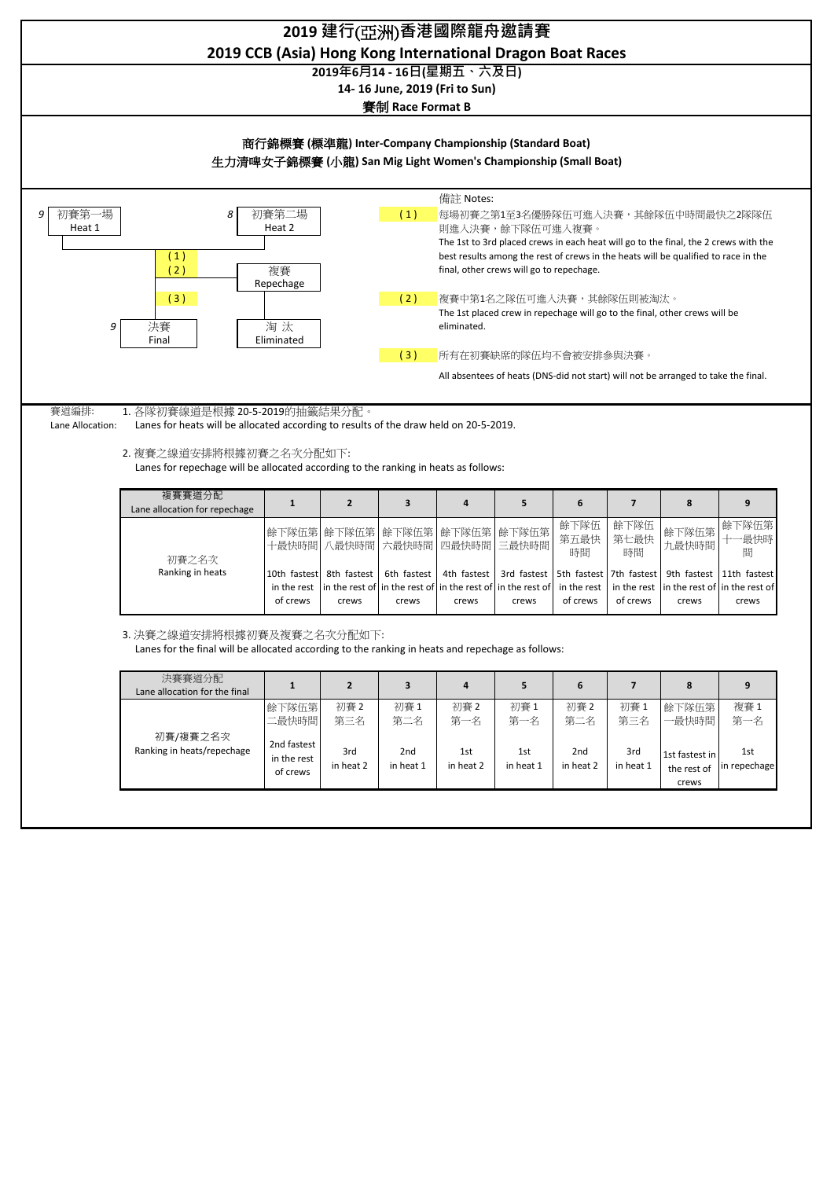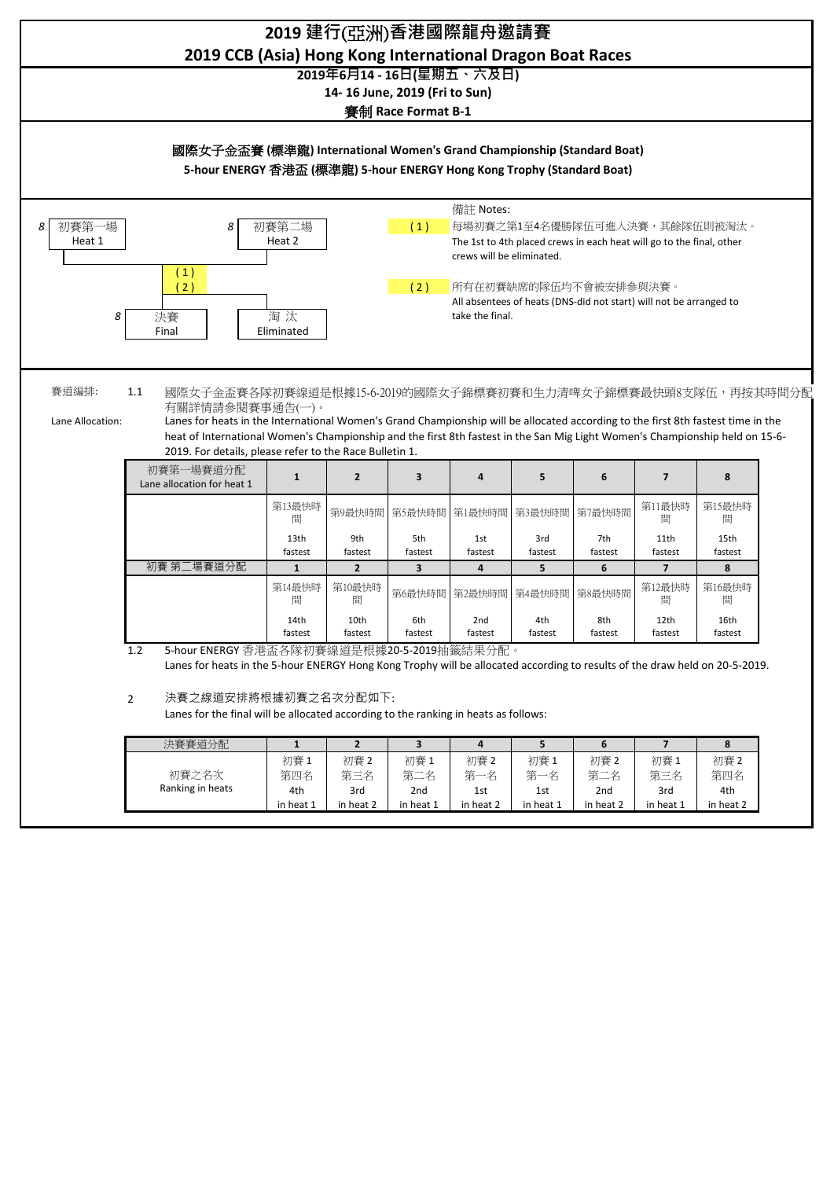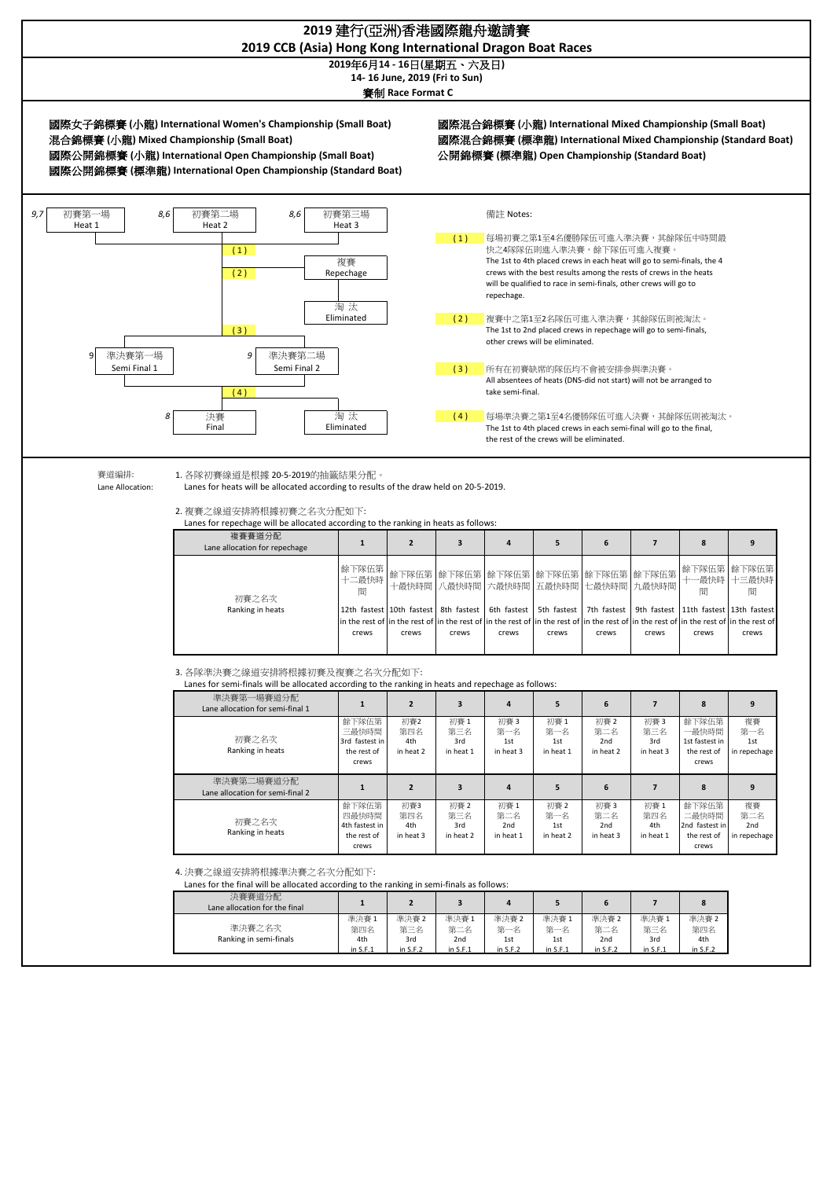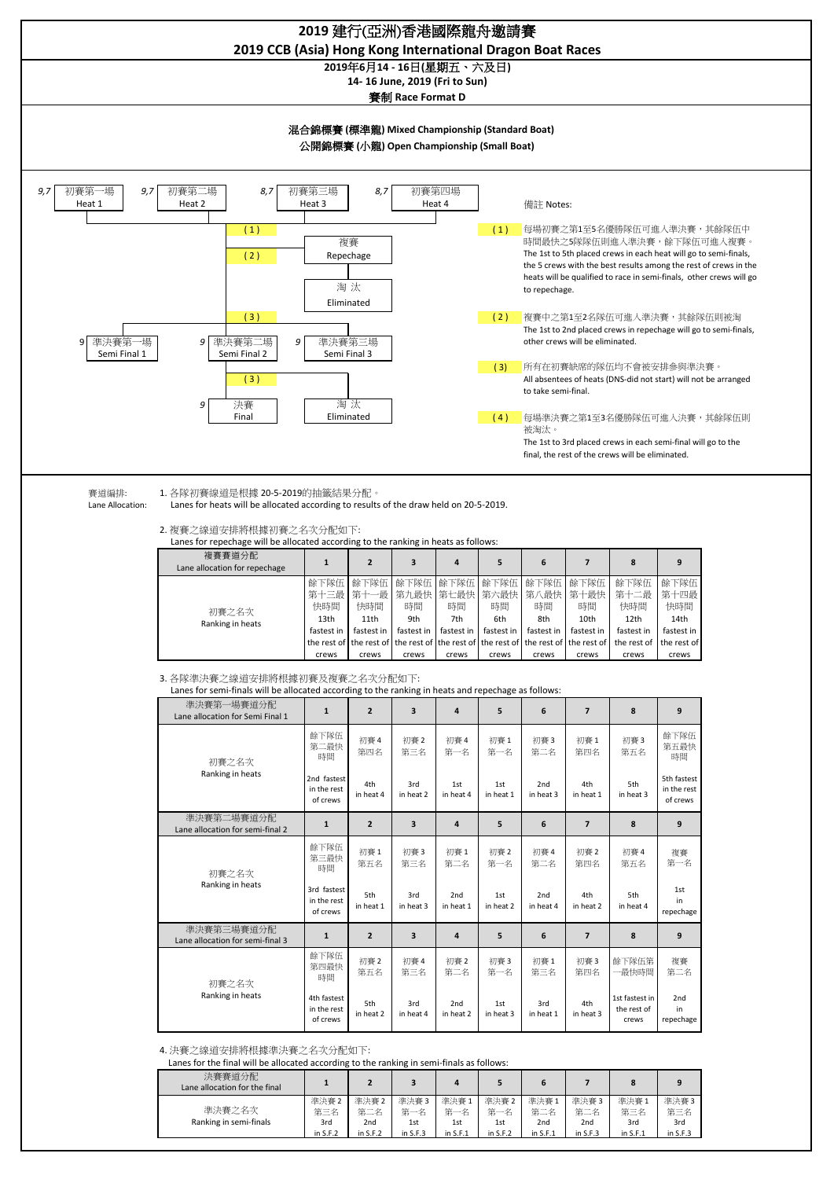